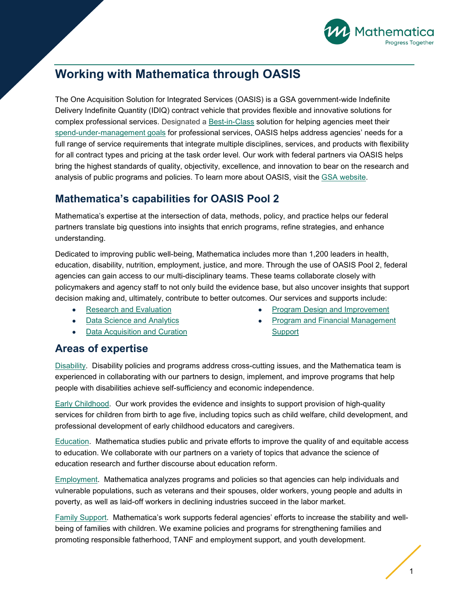

## **Working with Mathematica through OASIS**

The One Acquisition Solution for Integrated Services (OASIS) is a GSA government-wide Indefinite Delivery Indefinite Quantity (IDIQ) contract vehicle that provides flexible and innovative solutions for complex professional services. Designated a [Best-in-Class](https://www.gsa.gov/buying-selling/category-management/bestinclass) solution for helping agencies meet their [spend-under-management goals](https://hallways.cap.gsa.gov/app/#/gateway/best-class-bic/22576/list-of-best-in-class-solutions) for professional services, OASIS helps address agencies' needs for a full range of service requirements that integrate multiple disciplines, services, and products with flexibility for all contract types and pricing at the task order level. Our work with federal partners via OASIS helps bring the highest standards of quality, objectivity, excellence, and innovation to bear on the research and analysis of public programs and policies. To learn more about OASIS, visit the [GSA website.](https://www.gsa.gov/buying-selling/products-services/professional-services/buy-services/one-acquisition-solution-for-integrated-services-oasis)

## **Mathematica's capabilities for OASIS Pool 2**

Mathematica's expertise at the intersection of data, methods, policy, and practice helps our federal partners translate big questions into insights that enrich programs, refine strategies, and enhance understanding.

Dedicated to improving public well-being, Mathematica includes more than 1,200 leaders in health, education, disability, nutrition, employment, justice, and more. Through the use of OASIS Pool 2, federal agencies can gain access to our multi-disciplinary teams. These teams collaborate closely with policymakers and agency staff to not only build the evidence base, but also uncover insights that support decision making and, ultimately, contribute to better outcomes. Our services and supports include:

- [Research and Evaluation](https://www.mathematica-mpr.com/services/research-and-evaluation)
- [Data Science and Analytics](https://www.mathematica-mpr.com/services/data-science-and-analytics)
- [Data Acquisition and Curation](https://www.mathematica-mpr.com/services/data-acquisition-and-curation)
- [Program Design and Improvement](https://www.mathematica-mpr.com/services/program-design-and-improvement)
- [Program and Financial Management](https://www.mathematica-mpr.com/our-capabilities/case-studies/making-a-difference-in-employee-benefits-reporting)  [Support](https://www.mathematica-mpr.com/our-capabilities/case-studies/making-a-difference-in-employee-benefits-reporting)

## **Areas of expertise**

[Disability.](https://www.mathematica-mpr.com/our-focus-areas/human-services/disability) Disability policies and programs address cross-cutting issues, and the Mathematica team is experienced in collaborating with our partners to design, implement, and improve programs that help people with disabilities achieve self-sufficiency and economic independence.

[Early Childhood.](https://www.mathematica-mpr.com/our-focus-areas/human-services/early-childhood) Our work provides the evidence and insights to support provision of high-quality services for children from birth to age five, including topics such as child welfare, child development, and professional development of early childhood educators and caregivers.

[Education.](https://www.mathematica-mpr.com/our-focus-areas/human-services/education) Mathematica studies public and private efforts to improve the quality of and equitable access to education. We collaborate with our partners on a variety of topics that advance the science of education research and further discourse about education reform.

[Employment.](https://www.mathematica-mpr.com/our-focus-areas/human-services/employment) Mathematica analyzes programs and policies so that agencies can help individuals and vulnerable populations, such as veterans and their spouses, older workers, young people and adults in poverty, as well as laid-off workers in declining industries succeed in the labor market.

[Family Support.](https://www.mathematica-mpr.com/our-focus-areas/human-services/family-support) Mathematica's work supports federal agencies' efforts to increase the stability and wellbeing of families with children. We examine policies and programs for strengthening families and promoting responsible fatherhood, TANF and employment support, and youth development.